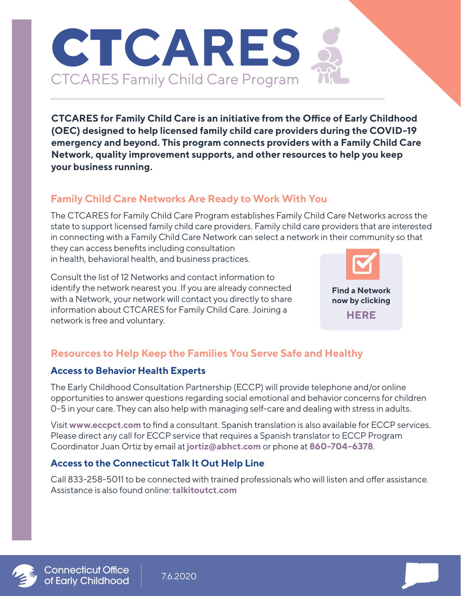

**CTCARES for Family Child Care is an initiative from the Office of Early Childhood (OEC) designed to help licensed family child care providers during the COVID-19 emergency and beyond. This program connects providers with a Family Child Care Network, quality improvement supports, and other resources to help you keep your business running.**

# **Family Child Care Networks Are Ready to Work With You**

The CTCARES for Family Child Care Program establishes Family Child Care Networks across the state to support licensed family child care providers. Family child care providers that are interested in connecting with a Family Child Care Network can select a network in their community so that they can access benefits including consultation

in health, behavioral health, and business practices.

Consult the list of 12 Networks and contact information to identify the network nearest you. If you are already connected with a Network, your network will contact you directly to share information about CTCARES for Family Child Care. Joining a network is free and voluntary.



# **Resources to Help Keep the Families You Serve Safe and Healthy**

### **Access to Behavior Health Experts**

The Early Childhood Consultation Partnership (ECCP) will provide telephone and/or online opportunities to answer questions regarding social emotional and behavior concerns for children 0-5 in your care. They can also help with managing self-care and dealing with stress in adults.

Visit **[www.eccpct.com](http://www.eccpct.com)** to find a consultant. Spanish translation is also available for ECCP services. Please direct any call for ECCP service that requires a Spanish translator to ECCP Program Coordinator Juan Ortiz by email at **[jortiz@abhct.com](mailto:jortiz@abhct.com)** or phone at **860-704-6378**.

# **Access to the Connecticut Talk It Out Help Line**

Call 833-258-5011 to be connected with trained professionals who will listen and offer assistance. Assistance is also found online: **talkitoutct.com**